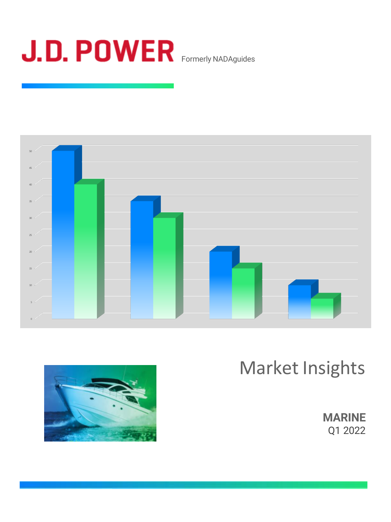







**MARINE** Q1 2022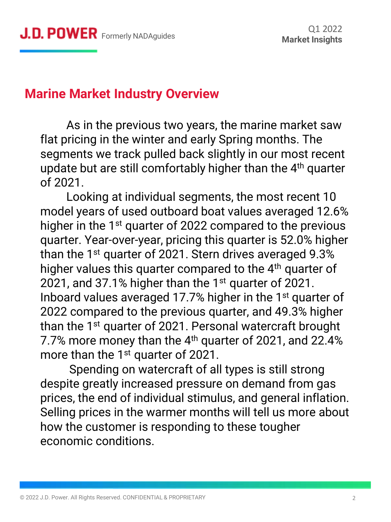## **Marine Market Industry Overview**

As in the previous two years, the marine market saw flat pricing in the winter and early Spring months. The segments we track pulled back slightly in our most recent update but are still comfortably higher than the 4<sup>th</sup> quarter of 2021.

Looking at individual segments, the most recent 10 model years of used outboard boat values averaged 12.6% higher in the 1<sup>st</sup> quarter of 2022 compared to the previous quarter. Year-over-year, pricing this quarter is 52.0% higher than the 1<sup>st</sup> quarter of 2021. Stern drives averaged 9.3% higher values this quarter compared to the 4<sup>th</sup> quarter of 2021, and 37.1% higher than the 1 $\mathrm{^{st}}$  guarter of 2021. Inboard values averaged 17.7% higher in the 1<sup>st</sup> quarter of 2022 compared to the previous quarter, and 49.3% higher than the 1<sup>st</sup> quarter of 2021. Personal watercraft brought 7.7% more money than the 4<sup>th</sup> quarter of 2021, and 22.4% more than the  $1<sup>st</sup>$  quarter of 2021.

Spending on watercraft of all types is still strong despite greatly increased pressure on demand from gas prices, the end of individual stimulus, and general inflation. Selling prices in the warmer months will tell us more about how the customer is responding to these tougher economic conditions.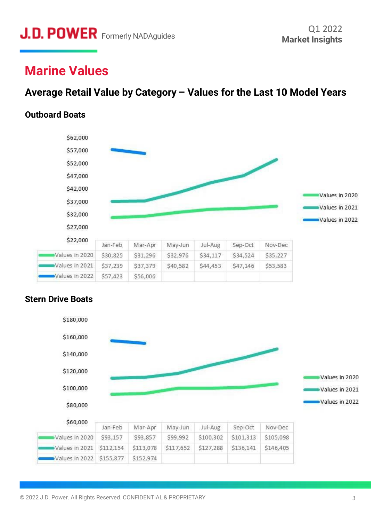# **Marine Values**

## **Average Retail Value by Category – Values for the Last 10 Model Years**

#### **Outboard Boats**



#### **Stern Drive Boats**

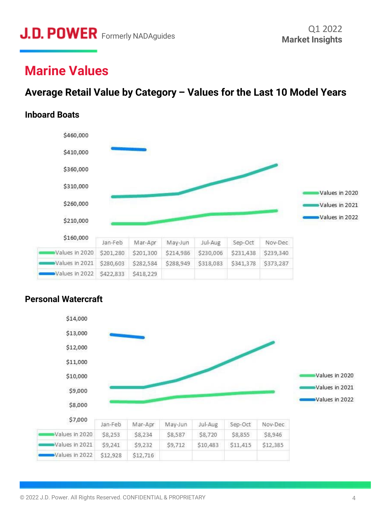# **Marine Values**

## **Average Retail Value by Category – Values for the Last 10 Model Years**

## **Inboard Boats**



#### **Personal Watercraft**

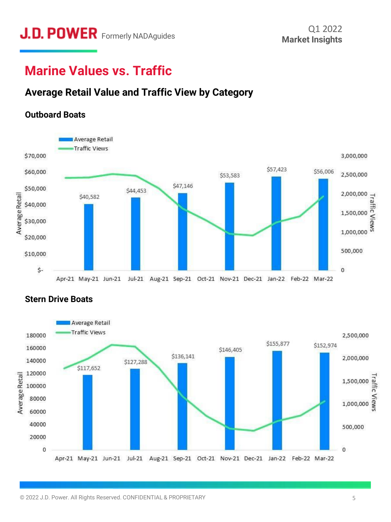# **Marine Values vs. Traffic**

## **Average Retail Value and Traffic View by Category**

### **Outboard Boats**





#### **Stern Drive Boats**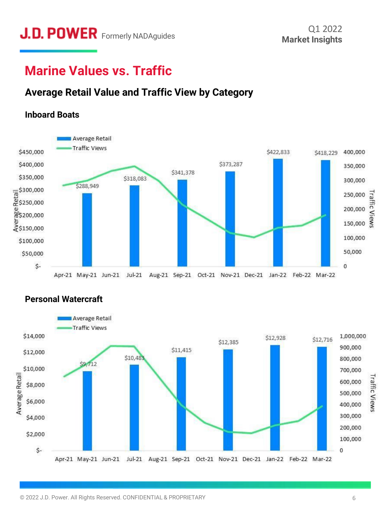# **Marine Values vs. Traffic**

## **Average Retail Value and Traffic View by Category**

### **Inboard Boats**





### **Personal Watercraft**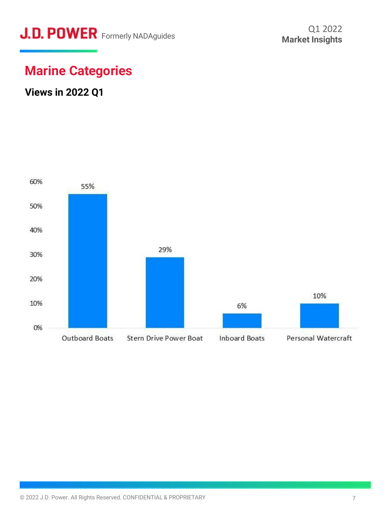

## **Marine Categories**

## **Views in 2022 Q1**

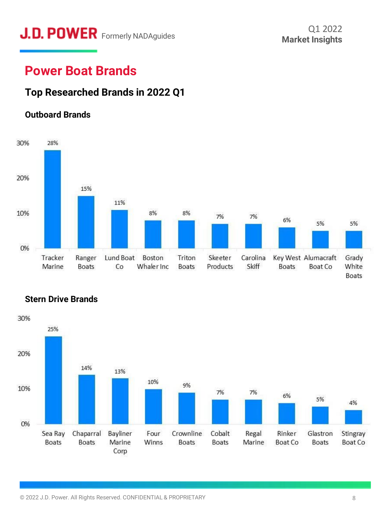# **J.D. POWER** Formerly NADAguides

# **Power Boat Brands**

## **Top Researched Brands in 2022 Q1**

#### **Outboard Brands**





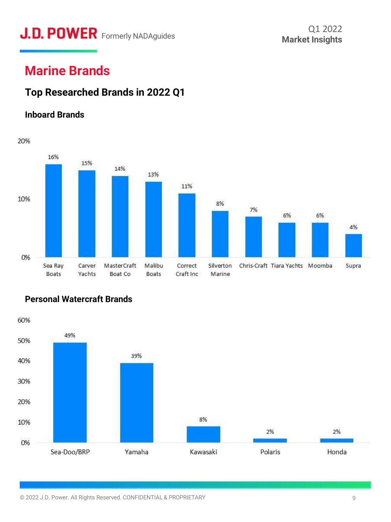# **J.D. POWER** Formerly NADAguides

# **Marine Brands**

## **Top Researched Brands in 2022 Q1**

### **Inboard Brands**



#### **Personal Watercraft Brands**

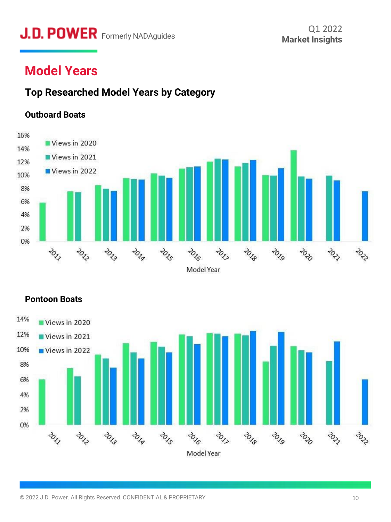# **J.D. POWER** Formerly NADAguides Market Insights

# **Model Years**

### **Top Researched Model Years by Category**

#### **Outboard Boats**





#### **Pontoon Boats**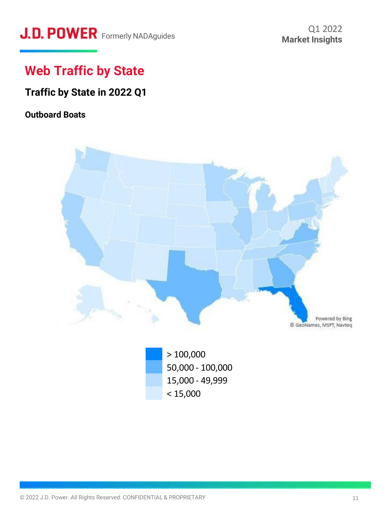# **J.D. POWER** Formerly NADAguides Market Insights

# **Web Traffic by State**

## **Traffic by State in 2022 Q1**

### **Outboard Boats**



> 100,000 50,000 - 100,000 15,000 - 49,999  $< 15,000$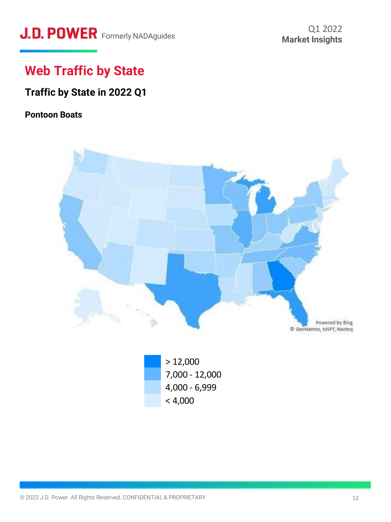# **J.D. POWER** Formerly NADAguides

# **Web Traffic by State**

## **Traffic by State in 2022 Q1**

#### **Pontoon Boats**

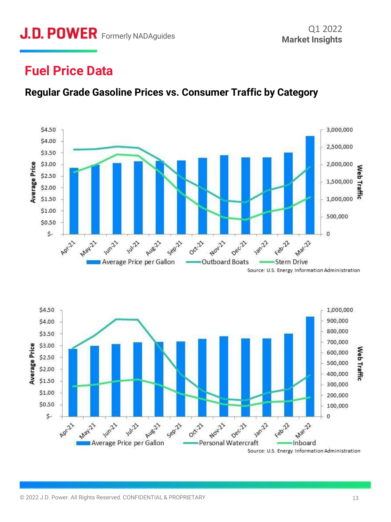# **J.D. POWER** Formerly NADAguides Market Insights

## **Fuel Price Data**







Source: U.S. Energy Information Administration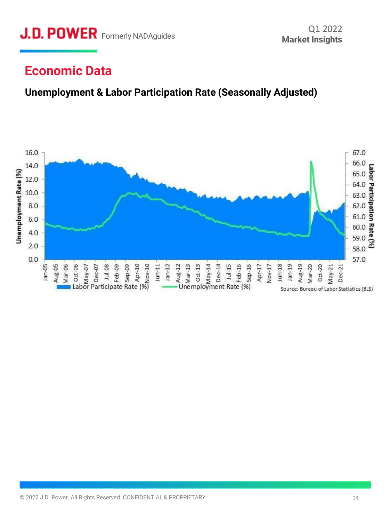# **Economic Data**

## **Unemployment & Labor Participation Rate (Seasonally Adjusted)**